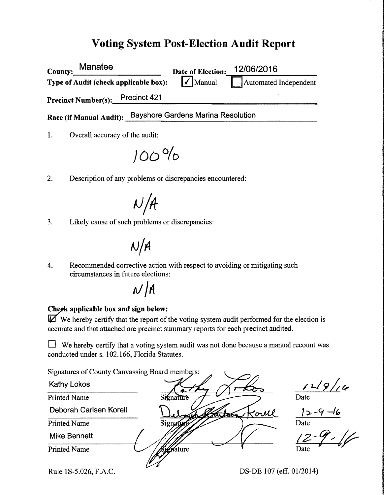### Voting System Post-Election Audit Report

| Manatee<br>County:                    |              | <b>Date of Election:</b>    | 12/06/2016            |
|---------------------------------------|--------------|-----------------------------|-----------------------|
| Type of Audit (check applicable box): |              | $\sqrt{\phantom{a}}$ Manual | Automated Independent |
| <b>Precinct Number(s):</b>            | Precinct 421 |                             |                       |

Race (if Manual Audit): Bayshore Gardens Marina Resolution

1. Overall accuracy of the audit:

 $100%$ 

2. Description of any problems or discrepancies encountered:

 $N/A$ 

3. Likely cause of such problems or discrepancies:

# $N/A$

4. Recommended corrective action with respect to avoiding or mitigating such circumstances in future elections:

## $N/A$

#### Cheek applicable box and sign below:

 $\mathbb{\vec{A}}$  We hereby certify that the report of the voting system audit performed for the election is accurate and that attached are precinct summary reports for each precinct audited.

 $\Box$  We hereby certify that a voting system audit was not done because a manual recount was conducted under s. 102.166, Florida Statutes.

Signatures of County Canvassing Board members:

Kathy Lokos Printed Name mature Deborah Carlsen Korell  $2 - 9 - 6$ Koull Printed Name Signa Date Mike Bennett Printed Name ature

Rule 1S-5.026, F.A.C. DS-DE 107 (eff. 01/2014)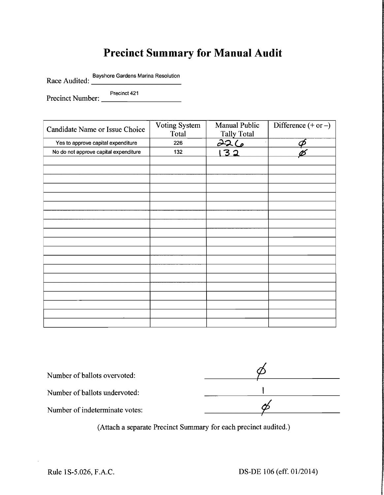## **Precinct Summary for Manual Audit**

Race Audited: Bayshore Gardens Marina Resolution

Precinct Number: Precinct 421

| Candidate Name or Issue Choice        | Voting System<br>Total | Manual Public<br><b>Tally Total</b> | Difference $(+ or -)$      |
|---------------------------------------|------------------------|-------------------------------------|----------------------------|
| Yes to approve capital expenditure    | 226                    | $\overline{226}$                    | $\boldsymbol{\mathcal{P}}$ |
| No do not approve capital expenditure | 132                    | 32                                  |                            |
|                                       |                        |                                     |                            |
|                                       |                        |                                     |                            |
|                                       |                        |                                     |                            |
|                                       |                        |                                     |                            |
|                                       |                        |                                     |                            |
|                                       |                        |                                     |                            |
|                                       |                        |                                     |                            |
|                                       |                        |                                     |                            |
|                                       |                        |                                     |                            |
|                                       |                        |                                     |                            |
|                                       |                        |                                     |                            |
|                                       |                        |                                     |                            |
|                                       |                        |                                     |                            |
|                                       |                        |                                     |                            |
|                                       |                        |                                     |                            |
|                                       |                        |                                     |                            |
|                                       |                        |                                     |                            |
|                                       |                        |                                     |                            |
|                                       |                        |                                     |                            |

| Number of ballots overvoted:   |  |
|--------------------------------|--|
| Number of ballots undervoted:  |  |
| Number of indeterminate votes: |  |

(Attach a separate Precinct Summary for each precinct audited.)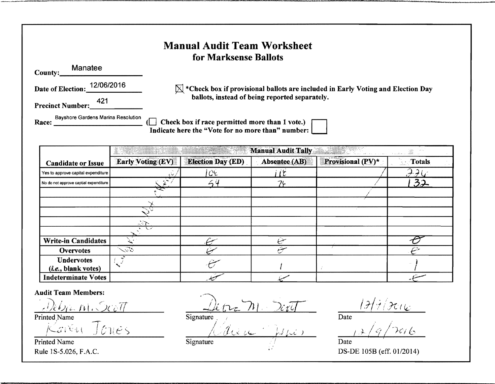#### **Manual Audit Team Worksheet** for Marksense Ballots Manatee County: Date of Election: 12/06/2016  $\boxtimes$  \*Check box if provisional ballots are included in Early Voting and Election Day ballots, instead of being reported separately. 421 **Precinct Number:**  $\Box$  Check box if race permitted more than 1 vote.) Indicate here the "Vote for no more than" number:

|                                       | <b>The Contract of Seconds</b> | <b>Collective</b><br>$\frac{1}{\sqrt{2}}\frac{d\phi}{d\phi}$ |               |                   |        |
|---------------------------------------|--------------------------------|--------------------------------------------------------------|---------------|-------------------|--------|
| <b>Candidate or Issue</b>             | <b>Early Voting (EV)</b>       | <b>Election Day (ED)</b>                                     | Absentee (AB) | Provisional (PV)* | Totals |
| Yes to approve capital expenditure    |                                | C                                                            | lE            |                   |        |
| No do not approve captial expenditure |                                |                                                              | 74            |                   | 32     |
|                                       |                                |                                                              |               |                   |        |
|                                       |                                |                                                              |               |                   |        |
|                                       |                                |                                                              |               |                   |        |
|                                       | ंग                             |                                                              |               |                   |        |
|                                       |                                |                                                              |               |                   |        |
| <b>Write-in Candidates</b>            |                                |                                                              |               |                   |        |
| <b>Overvotes</b>                      | $\sim$ 56                      |                                                              | سيتتم         |                   |        |
| <b>Undervotes</b>                     |                                |                                                              |               |                   |        |
| ( <i>i.e.</i> , blank votes)          |                                |                                                              |               |                   |        |
| <b>Indeterminate Votes</b>            |                                |                                                              |               |                   |        |

**Audit Team Members:** 

Printed Name

Tones  $\zeta_{\mathcal{G}}$  ,  $\zeta_{\mathcal{U}}$ 

**Printed Name** Rule 1S-5.026, F.A.C.

Signature Signature

 $7/7016$ 

 $\overline{\text{Date}}$ 

Date DS-DE 105B (eff. 01/2014)